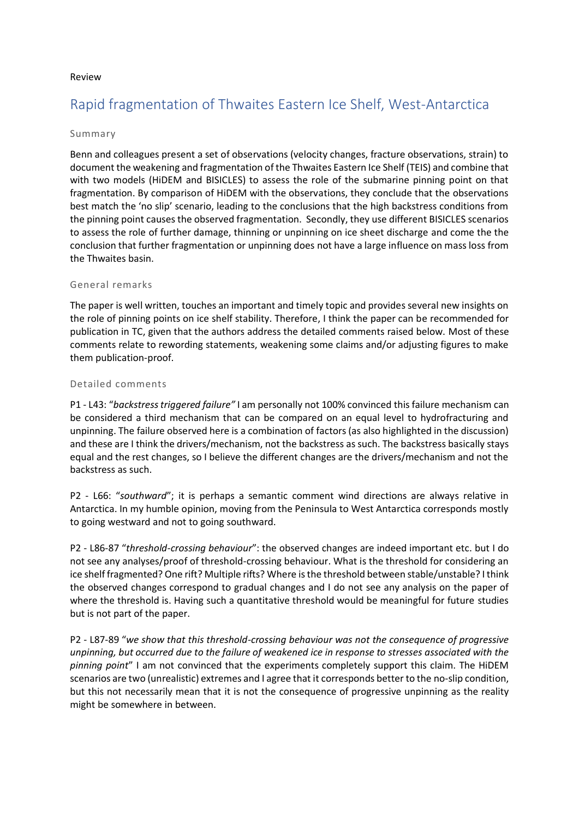## Review

# Rapid fragmentation of Thwaites Eastern Ice Shelf, West-Antarctica

## Summary

Benn and colleagues present a set of observations (velocity changes, fracture observations, strain) to document the weakening and fragmentation of the Thwaites Eastern Ice Shelf (TEIS) and combine that with two models (HiDEM and BISICLES) to assess the role of the submarine pinning point on that fragmentation. By comparison of HiDEM with the observations, they conclude that the observations best match the 'no slip' scenario, leading to the conclusions that the high backstress conditions from the pinning point causes the observed fragmentation. Secondly, they use different BISICLES scenarios to assess the role of further damage, thinning or unpinning on ice sheet discharge and come the the conclusion that further fragmentation or unpinning does not have a large influence on mass loss from the Thwaites basin.

## General remarks

The paper is well written, touches an important and timely topic and provides several new insights on the role of pinning points on ice shelf stability. Therefore, I think the paper can be recommended for publication in TC, given that the authors address the detailed comments raised below. Most of these comments relate to rewording statements, weakening some claims and/or adjusting figures to make them publication-proof.

## Detailed comments

P1 - L43: "*backstress triggered failure"* I am personally not 100% convinced this failure mechanism can be considered a third mechanism that can be compared on an equal level to hydrofracturing and unpinning. The failure observed here is a combination of factors (as also highlighted in the discussion) and these are I think the drivers/mechanism, not the backstress as such. The backstress basically stays equal and the rest changes, so I believe the different changes are the drivers/mechanism and not the backstress as such.

P2 - L66: "*southward*"; it is perhaps a semantic comment wind directions are always relative in Antarctica. In my humble opinion, moving from the Peninsula to West Antarctica corresponds mostly to going westward and not to going southward.

P2 - L86-87 "*threshold-crossing behaviour*": the observed changes are indeed important etc. but I do not see any analyses/proof of threshold-crossing behaviour. What is the threshold for considering an ice shelf fragmented? One rift? Multiple rifts? Where is the threshold between stable/unstable? I think the observed changes correspond to gradual changes and I do not see any analysis on the paper of where the threshold is. Having such a quantitative threshold would be meaningful for future studies but is not part of the paper.

P2 - L87-89 "*we show that this threshold-crossing behaviour was not the consequence of progressive unpinning, but occurred due to the failure of weakened ice in response to stresses associated with the pinning point*" I am not convinced that the experiments completely support this claim. The HiDEM scenarios are two (unrealistic) extremes and I agree that it corresponds better to the no-slip condition, but this not necessarily mean that it is not the consequence of progressive unpinning as the reality might be somewhere in between.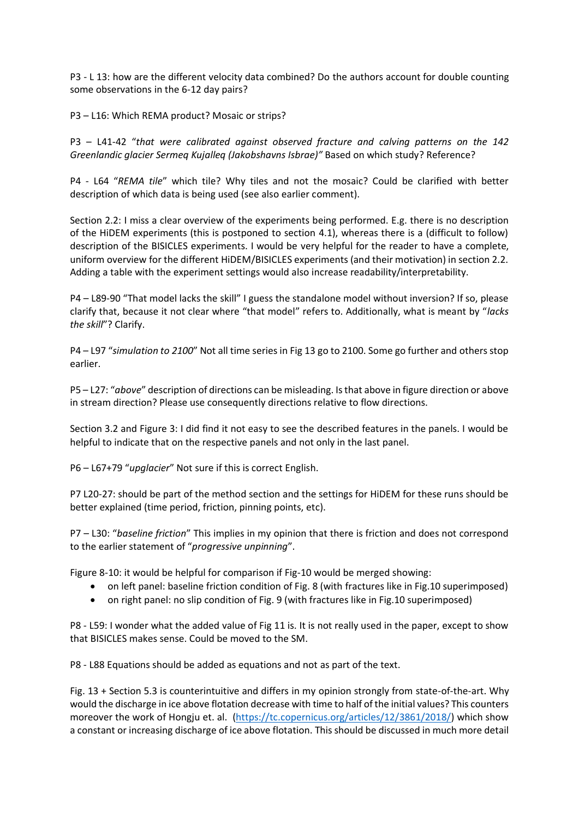P3 - L 13: how are the different velocity data combined? Do the authors account for double counting some observations in the 6-12 day pairs?

P3 – L16: Which REMA product? Mosaic or strips?

P3 – L41-42 "*that were calibrated against observed fracture and calving patterns on the 142 Greenlandic glacier Sermeq Kujalleq (Jakobshavns Isbrae)"* Based on which study? Reference?

P4 - L64 "*REMA tile*" which tile? Why tiles and not the mosaic? Could be clarified with better description of which data is being used (see also earlier comment).

Section 2.2: I miss a clear overview of the experiments being performed. E.g. there is no description of the HiDEM experiments (this is postponed to section 4.1), whereas there is a (difficult to follow) description of the BISICLES experiments. I would be very helpful for the reader to have a complete, uniform overview for the different HiDEM/BISICLES experiments (and their motivation) in section 2.2. Adding a table with the experiment settings would also increase readability/interpretability.

P4 – L89-90 "That model lacks the skill" I guess the standalone model without inversion? If so, please clarify that, because it not clear where "that model" refers to. Additionally, what is meant by "*lacks the skill*"? Clarify.

P4 – L97 "*simulation to 2100*" Not all time series in Fig 13 go to 2100. Some go further and others stop earlier.

P5 – L27: "*above*" description of directions can be misleading. Is that above in figure direction or above in stream direction? Please use consequently directions relative to flow directions.

Section 3.2 and Figure 3: I did find it not easy to see the described features in the panels. I would be helpful to indicate that on the respective panels and not only in the last panel.

P6 – L67+79 "*upglacier*" Not sure if this is correct English.

P7 L20-27: should be part of the method section and the settings for HiDEM for these runs should be better explained (time period, friction, pinning points, etc).

P7 – L30: "*baseline friction*" This implies in my opinion that there is friction and does not correspond to the earlier statement of "*progressive unpinning*".

Figure 8-10: it would be helpful for comparison if Fig-10 would be merged showing:

- on left panel: baseline friction condition of Fig. 8 (with fractures like in Fig. 10 superimposed)
- on right panel: no slip condition of Fig. 9 (with fractures like in Fig.10 superimposed)

P8 - L59: I wonder what the added value of Fig 11 is. It is not really used in the paper, except to show that BISICLES makes sense. Could be moved to the SM.

P8 - L88 Equations should be added as equations and not as part of the text.

Fig. 13 + Section 5.3 is counterintuitive and differs in my opinion strongly from state-of-the-art. Why would the discharge in ice above flotation decrease with time to half of the initial values? This counters moreover the work of Hongju et. al. [\(https://tc.copernicus.org/articles/12/3861/2018/\)](https://tc.copernicus.org/articles/12/3861/2018/) which show a constant or increasing discharge of ice above flotation. This should be discussed in much more detail